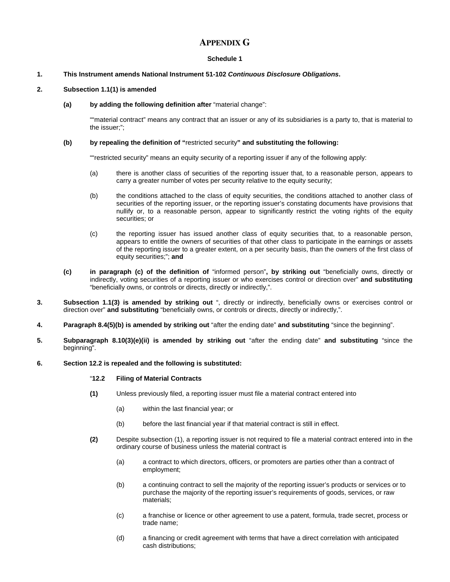# **APPENDIX G**

# **Schedule 1**

# **1. This Instrument amends National Instrument 51-102** *Continuous Disclosure Obligations***.**

# **2. Subsection 1.1(1) is amended**

#### **(a) by adding the following definition after** "material change":

""material contract" means any contract that an issuer or any of its subsidiaries is a party to, that is material to the issuer;";

# **(b) by repealing the definition of "**restricted security**" and substituting the following:**

""restricted security" means an equity security of a reporting issuer if any of the following apply:

- (a) there is another class of securities of the reporting issuer that, to a reasonable person, appears to carry a greater number of votes per security relative to the equity security;
- (b) the conditions attached to the class of equity securities, the conditions attached to another class of securities of the reporting issuer, or the reporting issuer's constating documents have provisions that nullify or, to a reasonable person, appear to significantly restrict the voting rights of the equity securities; or
- (c) the reporting issuer has issued another class of equity securities that, to a reasonable person, appears to entitle the owners of securities of that other class to participate in the earnings or assets of the reporting issuer to a greater extent, on a per security basis, than the owners of the first class of equity securities;"; **and**
- **(c) in paragraph (c) of the definition of** "informed person"**, by striking out** "beneficially owns, directly or indirectly, voting securities of a reporting issuer or who exercises control or direction over" **and substituting**  "beneficially owns, or controls or directs, directly or indirectly,".
- **3. Subsection 1.1(3) is amended by striking out** ", directly or indirectly, beneficially owns or exercises control or direction over" **and substituting** "beneficially owns, or controls or directs, directly or indirectly,".
- **4. Paragraph 8.4(5)(b) is amended by striking out** "after the ending date" **and substituting** "since the beginning".
- **5. Subparagraph 8.10(3)(e)(ii) is amended by striking out** "after the ending date" **and substituting** "since the beginning".
- **6. Section 12.2 is repealed and the following is substituted:**

# "**12.2 Filing of Material Contracts**

- **(1)** Unless previously filed, a reporting issuer must file a material contract entered into
	- (a) within the last financial year; or
	- (b) before the last financial year if that material contract is still in effect.
- **(2)** Despite subsection (1), a reporting issuer is not required to file a material contract entered into in the ordinary course of business unless the material contract is
	- (a) a contract to which directors, officers, or promoters are parties other than a contract of employment;
	- (b) a continuing contract to sell the majority of the reporting issuer's products or services or to purchase the majority of the reporting issuer's requirements of goods, services, or raw materials;
	- (c) a franchise or licence or other agreement to use a patent, formula, trade secret, process or trade name;
	- (d) a financing or credit agreement with terms that have a direct correlation with anticipated cash distributions;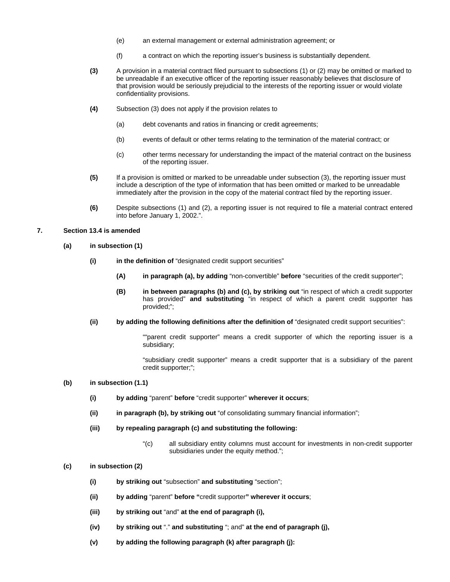- (e) an external management or external administration agreement; or
- (f) a contract on which the reporting issuer's business is substantially dependent.
- **(3)** A provision in a material contract filed pursuant to subsections (1) or (2) may be omitted or marked to be unreadable if an executive officer of the reporting issuer reasonably believes that disclosure of that provision would be seriously prejudicial to the interests of the reporting issuer or would violate confidentiality provisions.
- **(4)** Subsection (3) does not apply if the provision relates to
	- (a) debt covenants and ratios in financing or credit agreements;
	- (b) events of default or other terms relating to the termination of the material contract; or
	- (c) other terms necessary for understanding the impact of the material contract on the business of the reporting issuer.
- **(5)** If a provision is omitted or marked to be unreadable under subsection (3), the reporting issuer must include a description of the type of information that has been omitted or marked to be unreadable immediately after the provision in the copy of the material contract filed by the reporting issuer.
- **(6)** Despite subsections (1) and (2), a reporting issuer is not required to file a material contract entered into before January 1, 2002.".

## **7. Section 13.4 is amended**

- **(a) in subsection (1)** 
	- **(i) in the definition of** "designated credit support securities"
		- **(A) in paragraph (a), by adding** "non-convertible" **before** "securities of the credit supporter";
		- **(B) in between paragraphs (b) and (c), by striking out** "in respect of which a credit supporter has provided" **and substituting** "in respect of which a parent credit supporter has provided;";
	- **(ii) by adding the following definitions after the definition of** "designated credit support securities":

""parent credit supporter" means a credit supporter of which the reporting issuer is a subsidiary;

"subsidiary credit supporter" means a credit supporter that is a subsidiary of the parent credit supporter;";

## **(b) in subsection (1.1)**

- **(i) by adding** "parent" **before** "credit supporter" **wherever it occurs**;
- **(ii) in paragraph (b), by striking out** "of consolidating summary financial information";
- **(iii) by repealing paragraph (c) and substituting the following:** 
	- "(c) all subsidiary entity columns must account for investments in non-credit supporter subsidiaries under the equity method.";
- **(c) in subsection (2)** 
	- **(i) by striking out** "subsection" **and substituting** "section";
	- **(ii) by adding** "parent" **before "**credit supporter**" wherever it occurs**;
	- **(iii) by striking out** "and" **at the end of paragraph (i),**
	- **(iv) by striking out** "." **and substituting** "; and" **at the end of paragraph (j),**
	- **(v) by adding the following paragraph (k) after paragraph (j):**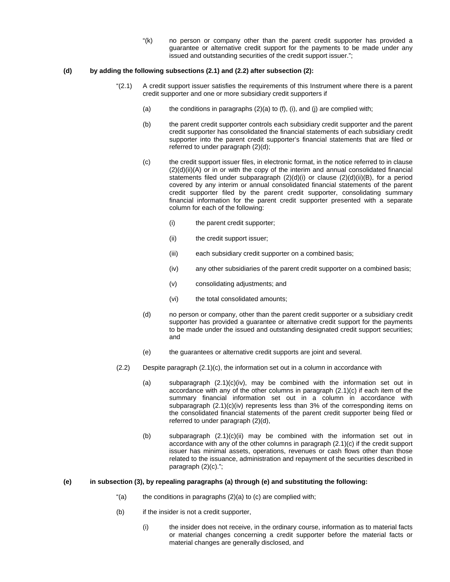"(k) no person or company other than the parent credit supporter has provided a guarantee or alternative credit support for the payments to be made under any issued and outstanding securities of the credit support issuer.";

#### **(d) by adding the following subsections (2.1) and (2.2) after subsection (2):**

- "(2.1) A credit support issuer satisfies the requirements of this Instrument where there is a parent credit supporter and one or more subsidiary credit supporters if
	- (a) the conditions in paragraphs  $(2)(a)$  to  $(f)$ ,  $(i)$ , and  $(j)$  are complied with;
	- (b) the parent credit supporter controls each subsidiary credit supporter and the parent credit supporter has consolidated the financial statements of each subsidiary credit supporter into the parent credit supporter's financial statements that are filed or referred to under paragraph (2)(d);
	- (c) the credit support issuer files, in electronic format, in the notice referred to in clause (2)(d)(ii)(A) or in or with the copy of the interim and annual consolidated financial statements filed under subparagraph (2)(d)(i) or clause (2)(d)(ii)(B), for a period covered by any interim or annual consolidated financial statements of the parent credit supporter filed by the parent credit supporter, consolidating summary financial information for the parent credit supporter presented with a separate column for each of the following:
		- (i) the parent credit supporter;
		- (ii) the credit support issuer;
		- (iii) each subsidiary credit supporter on a combined basis;
		- (iv) any other subsidiaries of the parent credit supporter on a combined basis;
		- (v) consolidating adjustments; and
		- (vi) the total consolidated amounts;
	- (d) no person or company, other than the parent credit supporter or a subsidiary credit supporter has provided a guarantee or alternative credit support for the payments to be made under the issued and outstanding designated credit support securities; and
	- (e) the guarantees or alternative credit supports are joint and several.
- (2.2) Despite paragraph (2.1)(c), the information set out in a column in accordance with
	- (a) subparagraph (2.1)(c)(iv), may be combined with the information set out in accordance with any of the other columns in paragraph (2.1)(c) if each item of the summary financial information set out in a column in accordance with subparagraph  $(2.1)(c)(iv)$  represents less than 3% of the corresponding items on the consolidated financial statements of the parent credit supporter being filed or referred to under paragraph (2)(d),
	- (b) subparagraph (2.1)(c)(ii) may be combined with the information set out in accordance with any of the other columns in paragraph (2.1)(c) if the credit support issuer has minimal assets, operations, revenues or cash flows other than those related to the issuance, administration and repayment of the securities described in paragraph (2)(c).";

### **(e) in subsection (3), by repealing paragraphs (a) through (e) and substituting the following:**

- "(a) the conditions in paragraphs  $(2)(a)$  to  $(c)$  are complied with;
- (b) if the insider is not a credit supporter,
	- (i) the insider does not receive, in the ordinary course, information as to material facts or material changes concerning a credit supporter before the material facts or material changes are generally disclosed, and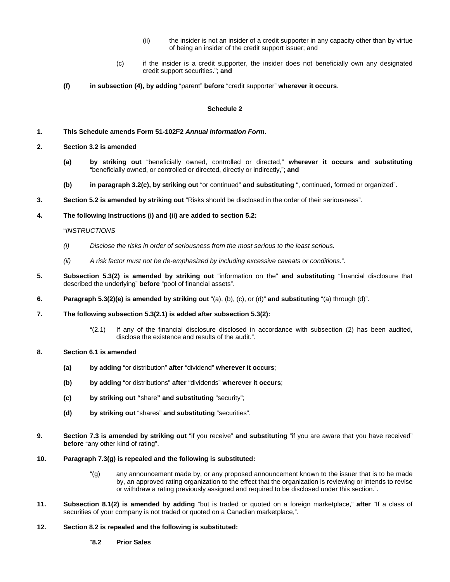- (ii) the insider is not an insider of a credit supporter in any capacity other than by virtue of being an insider of the credit support issuer; and
- (c) if the insider is a credit supporter, the insider does not beneficially own any designated credit support securities."; **and**
- **(f) in subsection (4), by adding** "parent" **before** "credit supporter" **wherever it occurs**.

#### **Schedule 2**

#### **1. This Schedule amends Form 51-102F2** *Annual Information Form***.**

- **2. Section 3.2 is amended** 
	- **(a) by striking out** "beneficially owned, controlled or directed," **wherever it occurs and substituting** "beneficially owned, or controlled or directed, directly or indirectly,"; **and**
	- **(b) in paragraph 3.2(c), by striking out** "or continued" **and substituting** ", continued, formed or organized".
- **3. Section 5.2 is amended by striking out** "Risks should be disclosed in the order of their seriousness".

#### **4. The following Instructions (i) and (ii) are added to section 5.2:**

#### "*INSTRUCTIONS*

- *(i) Disclose the risks in order of seriousness from the most serious to the least serious.*
- *(ii) A risk factor must not be de-emphasized by including excessive caveats or conditions.*".
- **5. Subsection 5.3(2) is amended by striking out** "information on the" **and substituting** "financial disclosure that described the underlying" **before** "pool of financial assets".
- **6. Paragraph 5.3(2)(e) is amended by striking out** "(a), (b), (c), or (d)" **and substituting** "(a) through (d)".
- **7. The following subsection 5.3(2.1) is added after subsection 5.3(2):** 
	- "(2.1) If any of the financial disclosure disclosed in accordance with subsection (2) has been audited, disclose the existence and results of the audit.".
- **8. Section 6.1 is amended** 
	- **(a) by adding** "or distribution" **after** "dividend" **wherever it occurs**;
	- **(b) by adding** "or distributions" **after** "dividends" **wherever it occurs**;
	- **(c) by striking out "**share**" and substituting** "security";
	- **(d) by striking out** "shares" **and substituting** "securities".
- **9. Section 7.3 is amended by striking out** "if you receive" **and substituting** "if you are aware that you have received" **before** "any other kind of rating".
- **10. Paragraph 7.3(g) is repealed and the following is substituted:** 
	- "(g) any announcement made by, or any proposed announcement known to the issuer that is to be made by, an approved rating organization to the effect that the organization is reviewing or intends to revise or withdraw a rating previously assigned and required to be disclosed under this section.".
- **11. Subsection 8.1(2) is amended by adding** "but is traded or quoted on a foreign marketplace," **after** "If a class of securities of your company is not traded or quoted on a Canadian marketplace,".
- **12. Section 8.2 is repealed and the following is substituted:** 
	- "**8.2 Prior Sales**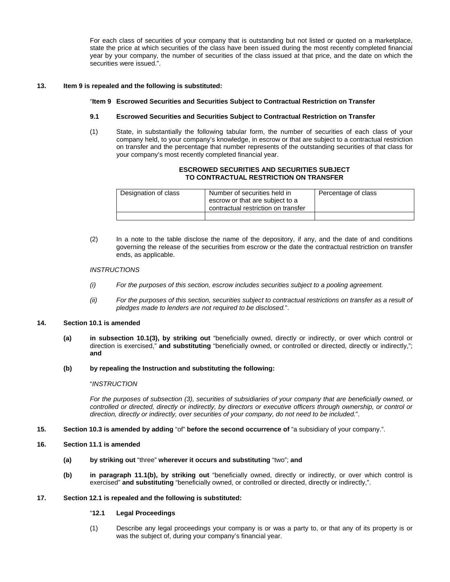For each class of securities of your company that is outstanding but not listed or quoted on a marketplace, state the price at which securities of the class have been issued during the most recently completed financial year by your company, the number of securities of the class issued at that price, and the date on which the securities were issued.".

## **13. Item 9 is repealed and the following is substituted:**

## "**Item 9 Escrowed Securities and Securities Subject to Contractual Restriction on Transfer**

### **9.1 Escrowed Securities and Securities Subject to Contractual Restriction on Transfer**

(1) State, in substantially the following tabular form, the number of securities of each class of your company held, to your company's knowledge, in escrow or that are subject to a contractual restriction on transfer and the percentage that number represents of the outstanding securities of that class for your company's most recently completed financial year.

### **ESCROWED SECURITIES AND SECURITIES SUBJECT TO CONTRACTUAL RESTRICTION ON TRANSFER**

| Designation of class | Number of securities held in<br>escrow or that are subject to a<br>contractual restriction on transfer | Percentage of class |
|----------------------|--------------------------------------------------------------------------------------------------------|---------------------|
|                      |                                                                                                        |                     |

(2) In a note to the table disclose the name of the depository, if any, and the date of and conditions governing the release of the securities from escrow or the date the contractual restriction on transfer ends, as applicable.

#### *INSTRUCTIONS*

- *(i) For the purposes of this section, escrow includes securities subject to a pooling agreement.*
- *(ii) For the purposes of this section, securities subject to contractual restrictions on transfer as a result of pledges made to lenders are not required to be disclosed.*".

## **14. Section 10.1 is amended**

**(a) in subsection 10.1(3), by striking out** "beneficially owned, directly or indirectly, or over which control or direction is exercised," **and substituting** "beneficially owned, or controlled or directed, directly or indirectly,"; **and**

#### **(b) by repealing the Instruction and substituting the following:**

#### "*INSTRUCTION*

*For the purposes of subsection (3), securities of subsidiaries of your company that are beneficially owned, or controlled or directed, directly or indirectly, by directors or executive officers through ownership, or control or direction, directly or indirectly, over securities of your company, do not need to be included.*".

- **15. Section 10.3 is amended by adding** "of" **before the second occurrence of** "a subsidiary of your company.".
- **16. Section 11.1 is amended** 
	- **(a) by striking out** "three" **wherever it occurs and substituting** "two"; **and**
	- **(b) in paragraph 11.1(b), by striking out** "beneficially owned, directly or indirectly, or over which control is exercised" **and substituting** "beneficially owned, or controlled or directed, directly or indirectly,".

#### **17. Section 12.1 is repealed and the following is substituted:**

## "**12.1 Legal Proceedings**

(1) Describe any legal proceedings your company is or was a party to, or that any of its property is or was the subject of, during your company's financial year.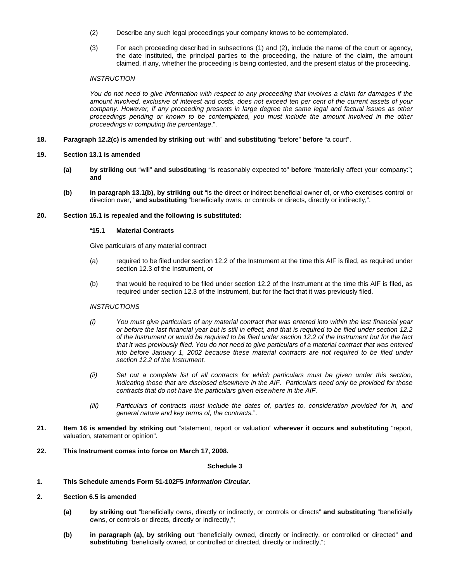- (2) Describe any such legal proceedings your company knows to be contemplated.
- (3) For each proceeding described in subsections (1) and (2), include the name of the court or agency, the date instituted, the principal parties to the proceeding, the nature of the claim, the amount claimed, if any, whether the proceeding is being contested, and the present status of the proceeding.

# *INSTRUCTION*

*You do not need to give information with respect to any proceeding that involves a claim for damages if the amount involved, exclusive of interest and costs, does not exceed ten per cent of the current assets of your company. However, if any proceeding presents in large degree the same legal and factual issues as other proceedings pending or known to be contemplated, you must include the amount involved in the other proceedings in computing the percentage*.".

**18. Paragraph 12.2(c) is amended by striking out** "with" **and substituting** "before" **before** "a court".

#### **19. Section 13.1 is amended**

- **(a) by striking out** "will" **and substituting** "is reasonably expected to" **before** "materially affect your company:"; **and**
- **(b) in paragraph 13.1(b), by striking out** "is the direct or indirect beneficial owner of, or who exercises control or direction over," **and substituting** "beneficially owns, or controls or directs, directly or indirectly,".

#### **20. Section 15.1 is repealed and the following is substituted:**

#### "**15.1 Material Contracts**

Give particulars of any material contract

- (a) required to be filed under section 12.2 of the Instrument at the time this AIF is filed, as required under section 12.3 of the Instrument, or
- (b) that would be required to be filed under section 12.2 of the Instrument at the time this AIF is filed, as required under section 12.3 of the Instrument, but for the fact that it was previously filed.

#### *INSTRUCTIONS*

- *(i) You must give particulars of any material contract that was entered into within the last financial year or before the last financial year but is still in effect, and that is required to be filed under section 12.2 of the Instrument or would be required to be filed under section 12.2 of the Instrument but for the fact that it was previously filed. You do not need to give particulars of a material contract that was entered into before January 1, 2002 because these material contracts are not required to be filed under section 12.2 of the Instrument.*
- *(ii) Set out a complete list of all contracts for which particulars must be given under this section, indicating those that are disclosed elsewhere in the AIF. Particulars need only be provided for those contracts that do not have the particulars given elsewhere in the AIF.*
- *(iii) Particulars of contracts must include the dates of, parties to, consideration provided for in, and general nature and key terms of, the contracts.*".
- **21. Item 16 is amended by striking out** "statement, report or valuation" **wherever it occurs and substituting** "report, valuation, statement or opinion".
- **22. This Instrument comes into force on March 17, 2008.**

#### **Schedule 3**

# **1. This Schedule amends Form 51-102F5** *Information Circular***.**

# **2. Section 6.5 is amended**

- **(a) by striking out** "beneficially owns, directly or indirectly, or controls or directs" **and substituting** "beneficially owns, or controls or directs, directly or indirectly,";
- **(b) in paragraph (a), by striking out** "beneficially owned, directly or indirectly, or controlled or directed" **and**  substituting "beneficially owned, or controlled or directed, directly or indirectly,";